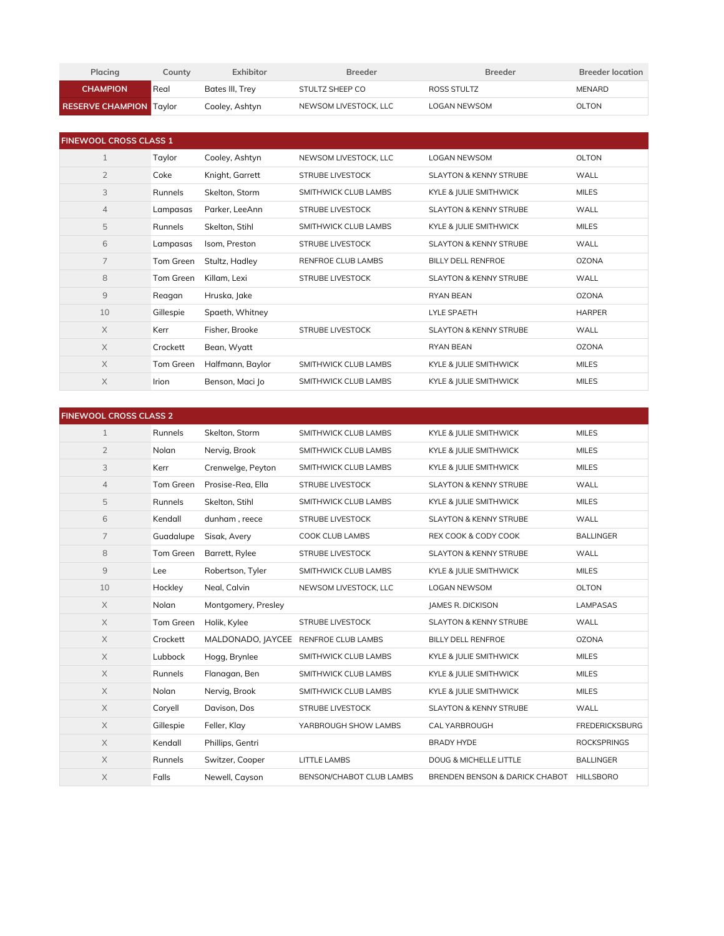| Placing                        | Countv | Exhibitor       | <b>Breeder</b>        | <b>Breeder</b> | <b>Breeder location</b> |
|--------------------------------|--------|-----------------|-----------------------|----------------|-------------------------|
| <b>CHAMPION</b>                | Real   | Bates III, Trey | STULTZ SHEEP CO       | ROSS STULTZ    | MENARD                  |
| <b>RESERVE CHAMPION Taylor</b> |        | Cooley, Ashtyn  | NEWSOM LIVESTOCK. LLC | LOGAN NEWSOM   | OLTON                   |

| <b>FINEWOOL CROSS CLASS 1</b> |           |                  |                         |                                   |               |
|-------------------------------|-----------|------------------|-------------------------|-----------------------------------|---------------|
| $\mathbf{1}$                  | Taylor    | Cooley, Ashtyn   | NEWSOM LIVESTOCK, LLC   | <b>LOGAN NEWSOM</b>               | OLTON         |
| $\overline{2}$                | Coke      | Knight, Garrett  | <b>STRUBE LIVESTOCK</b> | <b>SLAYTON &amp; KENNY STRUBE</b> | WALL          |
| 3                             | Runnels   | Skelton, Storm   | SMITHWICK CLUB LAMBS    | KYLE & JULIE SMITHWICK            | <b>MILES</b>  |
| $\overline{4}$                | Lampasas  | Parker, LeeAnn   | <b>STRUBE LIVESTOCK</b> | SLAYTON & KENNY STRUBE            | WALL          |
| 5                             | Runnels   | Skelton, Stihl   | SMITHWICK CLUB LAMBS    | KYLE & JULIE SMITHWICK            | <b>MILES</b>  |
| 6                             | Lampasas  | Isom, Preston    | <b>STRUBE LIVESTOCK</b> | <b>SLAYTON &amp; KENNY STRUBE</b> | WALL          |
| $\overline{7}$                | Tom Green | Stultz, Hadley   | RENFROE CLUB LAMBS      | <b>BILLY DELL RENFROE</b>         | <b>OZONA</b>  |
| 8                             | Tom Green | Killam, Lexi     | <b>STRUBE LIVESTOCK</b> | <b>SLAYTON &amp; KENNY STRUBE</b> | WALL          |
| $\overline{9}$                | Reagan    | Hruska, lake     |                         | <b>RYAN BEAN</b>                  | <b>OZONA</b>  |
| 10                            | Gillespie | Spaeth, Whitney  |                         | <b>LYLE SPAETH</b>                | <b>HARPER</b> |
| $\times$                      | Kerr      | Fisher, Brooke   | STRUBE LIVESTOCK        | <b>SLAYTON &amp; KENNY STRUBE</b> | WALL          |
| $\times$                      | Crockett  | Bean, Wyatt      |                         | <b>RYAN BEAN</b>                  | <b>OZONA</b>  |
| $\times$                      | Tom Green | Halfmann, Baylor | SMITHWICK CLUB LAMBS    | KYLE & JULIE SMITHWICK            | <b>MILES</b>  |
| $\times$                      | Irion     | Benson, Maci Jo  | SMITHWICK CLUB LAMBS    | KYLE & JULIE SMITHWICK            | <b>MILES</b>  |

| <b>FINEWOOL CROSS CLASS 2</b> |           |                                      |                          |                                          |                       |
|-------------------------------|-----------|--------------------------------------|--------------------------|------------------------------------------|-----------------------|
| $\mathbf{1}$                  | Runnels   | Skelton, Storm                       | SMITHWICK CLUB LAMBS     | KYLE & JULIE SMITHWICK                   | <b>MILES</b>          |
| $\overline{2}$                | Nolan     | Nervig, Brook                        | SMITHWICK CLUB LAMBS     | KYLE & JULIE SMITHWICK                   | <b>MILES</b>          |
| 3                             | Kerr      | Crenwelge, Peyton                    | SMITHWICK CLUB LAMBS     | KYLE & JULIE SMITHWICK                   | <b>MILES</b>          |
| $\overline{4}$                | Tom Green | Prosise-Rea, Ella                    | <b>STRUBE LIVESTOCK</b>  | <b>SLAYTON &amp; KENNY STRUBE</b>        | WALL                  |
| 5                             | Runnels   | Skelton, Stihl                       | SMITHWICK CLUB LAMBS     | KYLE & JULIE SMITHWICK                   | <b>MILES</b>          |
| 6                             | Kendall   | dunham, reece                        | <b>STRUBE LIVESTOCK</b>  | <b>SLAYTON &amp; KENNY STRUBE</b>        | WALL                  |
| $\overline{7}$                | Guadalupe | Sisak, Avery                         | COOK CLUB LAMBS          | REX COOK & CODY COOK                     | <b>BALLINGER</b>      |
| 8                             | Tom Green | Barrett, Rylee                       | <b>STRUBE LIVESTOCK</b>  | <b>SLAYTON &amp; KENNY STRUBE</b>        | WALL                  |
| $\overline{9}$                | Lee       | Robertson, Tyler                     | SMITHWICK CLUB LAMBS     | KYLE & JULIE SMITHWICK                   | <b>MILES</b>          |
| 10                            | Hockley   | Neal, Calvin                         | NEWSOM LIVESTOCK, LLC    | <b>LOGAN NEWSOM</b>                      | <b>OLTON</b>          |
| $\times$                      | Nolan     | Montgomery, Presley                  |                          | JAMES R. DICKISON                        | <b>LAMPASAS</b>       |
| $\times$                      | Tom Green | Holik, Kylee                         | <b>STRUBE LIVESTOCK</b>  | <b>SLAYTON &amp; KENNY STRUBE</b>        | WALL                  |
| $\times$                      | Crockett  | MALDONADO, JAYCEE RENFROE CLUB LAMBS |                          | BILLY DELL RENFROE                       | <b>OZONA</b>          |
| $\times$                      | Lubbock   | Hogg, Brynlee                        | SMITHWICK CLUB LAMBS     | KYLE & JULIE SMITHWICK                   | <b>MILES</b>          |
| $\times$                      | Runnels   | Flanagan, Ben                        | SMITHWICK CLUB LAMBS     | KYLE & JULIE SMITHWICK                   | <b>MILES</b>          |
| $\times$                      | Nolan     | Nervig, Brook                        | SMITHWICK CLUB LAMBS     | KYLE & JULIE SMITHWICK                   | <b>MILES</b>          |
| $\times$                      | Coryell   | Davison, Dos                         | <b>STRUBE LIVESTOCK</b>  | <b>SLAYTON &amp; KENNY STRUBE</b>        | WALL                  |
| $\times$                      | Gillespie | Feller, Klay                         | YARBROUGH SHOW LAMBS     | CAL YARBROUGH                            | <b>FREDERICKSBURG</b> |
| $\times$                      | Kendall   | Phillips, Gentri                     |                          | <b>BRADY HYDE</b>                        | <b>ROCKSPRINGS</b>    |
| $\times$                      | Runnels   | Switzer, Cooper                      | <b>LITTLE LAMBS</b>      | <b>DOUG &amp; MICHELLE LITTLE</b>        | <b>BALLINGER</b>      |
| $\mathsf X$                   | Falls     | Newell, Cayson                       | BENSON/CHABOT CLUB LAMBS | BRENDEN BENSON & DARICK CHABOT HILLSBORO |                       |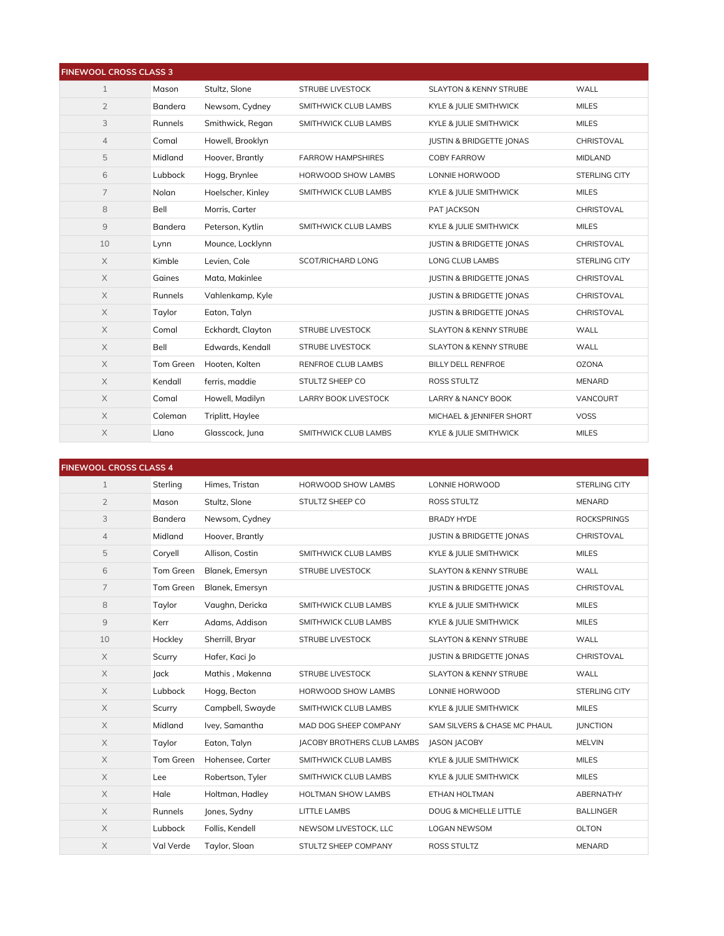| <b>FINEWOOL CROSS CLASS 3</b> |           |                   |                             |                                     |                |
|-------------------------------|-----------|-------------------|-----------------------------|-------------------------------------|----------------|
| $\mathbf{1}$                  | Mason     | Stultz, Slone     | <b>STRUBE LIVESTOCK</b>     | <b>SLAYTON &amp; KENNY STRUBE</b>   | WALL           |
| $\overline{2}$                | Bandera   | Newsom, Cydney    | SMITHWICK CLUB LAMBS        | KYLE & JULIE SMITHWICK              | <b>MILES</b>   |
| 3                             | Runnels   | Smithwick, Regan  | SMITHWICK CLUB LAMBS        | KYLE & JULIE SMITHWICK              | <b>MILES</b>   |
| $\overline{4}$                | Comal     | Howell, Brooklyn  |                             | <b>JUSTIN &amp; BRIDGETTE JONAS</b> | CHRISTOVAL     |
| 5                             | Midland   | Hoover, Brantly   | <b>FARROW HAMPSHIRES</b>    | <b>COBY FARROW</b>                  | <b>MIDLAND</b> |
| 6                             | Lubbock   | Hogg, Brynlee     | HORWOOD SHOW LAMBS          | LONNIE HORWOOD                      | STERLING CITY  |
| $\overline{7}$                | Nolan     | Hoelscher, Kinley | SMITHWICK CLUB LAMBS        | KYLE & JULIE SMITHWICK              | <b>MILES</b>   |
| 8                             | Bell      | Morris. Carter    |                             | PAT JACKSON                         | CHRISTOVAL     |
| 9                             | Bandera   | Peterson, Kytlin  | SMITHWICK CLUB LAMBS        | KYLE & JULIE SMITHWICK              | <b>MILES</b>   |
| 10                            | Lynn      | Mounce, Locklynn  |                             | <b>JUSTIN &amp; BRIDGETTE JONAS</b> | CHRISTOVAL     |
| $\times$                      | Kimble    | Levien, Cole      | SCOT/RICHARD LONG           | LONG CLUB LAMBS                     | STERLING CITY  |
| $\mathsf X$                   | Gaines    | Mata, Makinlee    |                             | <b>JUSTIN &amp; BRIDGETTE JONAS</b> | CHRISTOVAL     |
| $\times$                      | Runnels   | Vahlenkamp, Kyle  |                             | <b>JUSTIN &amp; BRIDGETTE JONAS</b> | CHRISTOVAL     |
| $\times$                      | Taylor    | Eaton, Talyn      |                             | <b>JUSTIN &amp; BRIDGETTE JONAS</b> | CHRISTOVAL     |
| $\times$                      | Comal     | Eckhardt, Clayton | <b>STRUBE LIVESTOCK</b>     | <b>SLAYTON &amp; KENNY STRUBE</b>   | WALL           |
| $\times$                      | Bell      | Edwards, Kendall  | <b>STRUBE LIVESTOCK</b>     | <b>SLAYTON &amp; KENNY STRUBE</b>   | WALL           |
| $\times$                      | Tom Green | Hooten, Kolten    | RENFROE CLUB LAMBS          | <b>BILLY DELL RENFROE</b>           | <b>OZONA</b>   |
| $\times$                      | Kendall   | ferris. maddie    | STULTZ SHEEP CO             | ROSS STULTZ                         | <b>MENARD</b>  |
| $\mathsf X$                   | Comal     | Howell, Madilyn   | <b>LARRY BOOK LIVESTOCK</b> | LARRY & NANCY BOOK                  | VANCOURT       |
| $\times$                      | Coleman   | Triplitt, Haylee  |                             | MICHAEL & JENNIFER SHORT            | <b>VOSS</b>    |
| $\times$                      | Llano     | Glasscock, Juna   | SMITHWICK CLUB LAMBS        | KYLE & JULIE SMITHWICK              | <b>MILES</b>   |

| <b>FINEWOOL CROSS CLASS 4</b> |           |                  |                                   |                                     |                      |
|-------------------------------|-----------|------------------|-----------------------------------|-------------------------------------|----------------------|
| $\mathbf{1}$                  | Sterling  | Himes, Tristan   | <b>HORWOOD SHOW LAMBS</b>         | LONNIE HORWOOD                      | <b>STERLING CITY</b> |
| $\overline{2}$                | Mason     | Stultz. Slone    | STULTZ SHEEP CO                   | ROSS STULTZ                         | <b>MENARD</b>        |
| 3                             | Bandera   | Newsom, Cydney   |                                   | <b>BRADY HYDE</b>                   | <b>ROCKSPRINGS</b>   |
| $\overline{4}$                | Midland   | Hoover, Brantly  |                                   | <b>JUSTIN &amp; BRIDGETTE JONAS</b> | CHRISTOVAL           |
| 5                             | Coryell   | Allison, Costin  | SMITHWICK CLUB LAMBS              | KYLE & JULIE SMITHWICK              | <b>MILES</b>         |
| 6                             | Tom Green | Blanek, Emersyn  | <b>STRUBE LIVESTOCK</b>           | <b>SLAYTON &amp; KENNY STRUBE</b>   | WALL                 |
| $\overline{7}$                | Tom Green | Blanek, Emersyn  |                                   | <b>JUSTIN &amp; BRIDGETTE JONAS</b> | CHRISTOVAL           |
| 8                             | Taylor    | Vaughn, Dericka  | SMITHWICK CLUB LAMBS              | KYLE & JULIE SMITHWICK              | <b>MILES</b>         |
| $9$                           | Kerr      | Adams, Addison   | SMITHWICK CLUB LAMBS              | KYLE & JULIE SMITHWICK              | <b>MILES</b>         |
| 10                            | Hockley   | Sherrill, Bryar  | <b>STRUBE LIVESTOCK</b>           | <b>SLAYTON &amp; KENNY STRUBE</b>   | WALL                 |
| $\times$                      | Scurry    | Hafer, Kaci Jo   |                                   | JUSTIN & BRIDGETTE JONAS            | CHRISTOVAL           |
| $\mathsf X$                   | ack       | Mathis, Makenna  | <b>STRUBE LIVESTOCK</b>           | <b>SLAYTON &amp; KENNY STRUBE</b>   | WALL                 |
| $\times$                      | Lubbock   | Hogg, Becton     | <b>HORWOOD SHOW LAMBS</b>         | LONNIE HORWOOD                      | STERLING CITY        |
| $\times$                      | Scurry    | Campbell, Swayde | SMITHWICK CLUB LAMBS              | KYLE & JULIE SMITHWICK              | <b>MILES</b>         |
| $\times$                      | Midland   | Ivey, Samantha   | MAD DOG SHEEP COMPANY             | SAM SILVERS & CHASE MC PHAUL        | <b>JUNCTION</b>      |
| $\times$                      | Taylor    | Eaton, Talyn     | <b>JACOBY BROTHERS CLUB LAMBS</b> | <b>JASON JACOBY</b>                 | <b>MELVIN</b>        |
| $\mathsf X$                   | Tom Green | Hohensee, Carter | SMITHWICK CLUB LAMBS              | KYLE & JULIE SMITHWICK              | <b>MILES</b>         |
| X                             | Lee       | Robertson, Tyler | SMITHWICK CLUB LAMBS              | KYLE & JULIE SMITHWICK              | <b>MILES</b>         |
| X                             | Hale      | Holtman, Hadley  | HOLTMAN SHOW LAMBS                | ETHAN HOLTMAN                       | ABERNATHY            |
| $\mathsf X$                   | Runnels   | Jones, Sydny     | <b>LITTLE LAMBS</b>               | <b>DOUG &amp; MICHELLE LITTLE</b>   | <b>BALLINGER</b>     |
| $\mathsf X$                   | Lubbock   | Follis, Kendell  | NEWSOM LIVESTOCK, LLC             | <b>LOGAN NEWSOM</b>                 | <b>OLTON</b>         |
| $\mathsf X$                   | Val Verde | Taylor, Sloan    | STULTZ SHEEP COMPANY              | <b>ROSS STULTZ</b>                  | <b>MENARD</b>        |